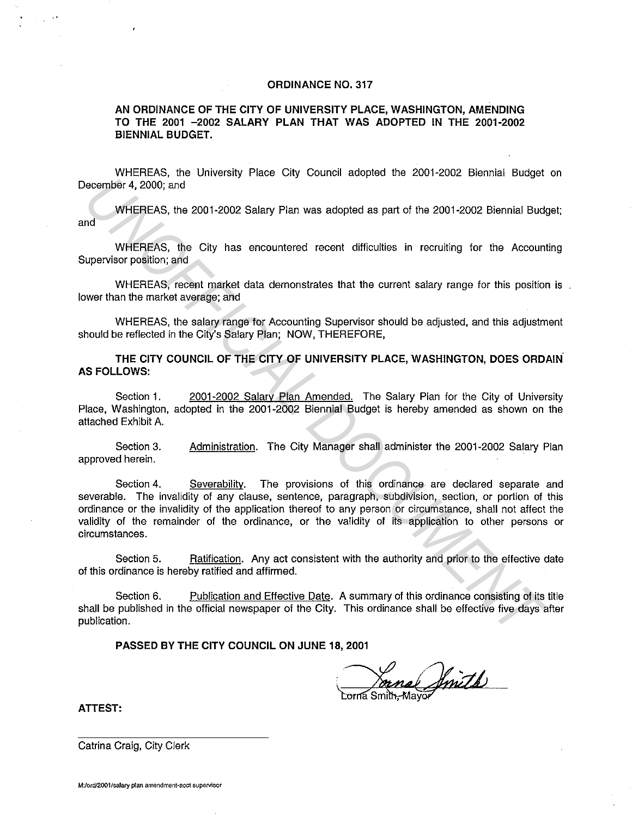## **ORDINANCE NO. 317**

**AN ORDINANCE OF THE CITY OF UNIVERSITY PLACE, WASHINGTON, AMENDING TO THE 2001 -2002 SALARY PLAN THAT WAS ADOPTED IN THE 2001-2002 BIENNIAL BUDGET.** 

WHEREAS, the University Place City Council adopted the 2001-2002 Biennial Budget on December 4, 2000; and

WHEREAS, the 2001-2002 Salary Plan was adopted as part of the 2001-2002 Biennial Budget; and

WHEREAS, the City has encountered recent difficulties in recruiting for the Accounting Supervisor position; and

WHEREAS, recent market data demonstrates that the current salary range for this position is. lower than the market average; and

WHEREAS, the salary range for Accounting Supervisor should be adjusted, and this adjustment should be reflected in the City's Salary Plan; NOW, THEREFORE,

**THE CITY COUNCIL OF THE CITY OF UNIVERSITY PLACE, WASHINGTON, DOES ORDAIN. AS FOLLOWS:** 

Section 1. 2001-2002 Salary Plan Amended. The Salary Plan for the City of University Place, Washington, adopted in the 2001-2002 Biennial Budget is hereby amended as shown on the attached Exhibit A.

Section 3. approved herein. Administration. The City Manager shall administer the 2001-2002 Salary Plan

Section 4. Severability. The provisions of this ordinance are declared separate and severable. The invalidity of any clause, sentence, paragraph, subdivision, section, or portion of this ordinance or the invalidity of the application thereof to any person or circumstance, shall not affect the validity of the remainder of the ordinance, or the validity of its application to other persons or circumstances. **Example 14, 2000;** and<br>
WHEREAS, the 2001-2002 Salary Plan was adopted as part of the 2001-2002 Biennial Bud<br>
WHEREAS, the City has encountered recont difficulties in recruiting for the Account<br>
upervisor position; and<br>
W

Section 5. Ratification. Any act consistent with the authority and prior to the effective date of this ordinance is hereby ratified and affirmed.

Section 6. Publication and Effective Date. A summary of this ordinance consisting of its title shall be published in the official newspaper of the City. This ordinance shall be effective five days after publication.

**PASSED BY THE CITY COUNCIL ON JUNE 18, 2001** 

Coma Smith, Mayor

**ATTEST:** 

 $\sim 10^{-4.5}$ 

Catrina Craig, City Clerk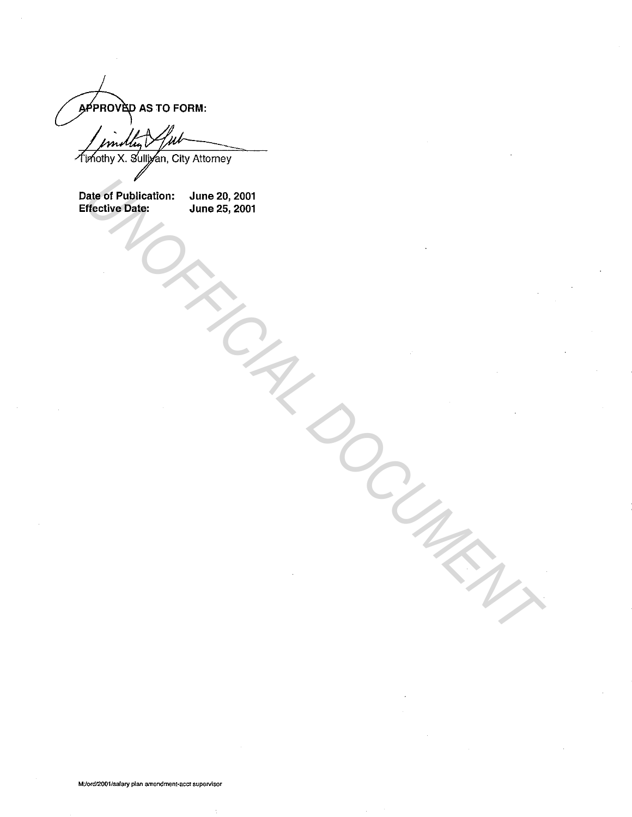APPROVED AS TO FORM:

Timothy X. Sulliyan, City Attorney

Date of Publication: June 20, 2001<br>Effective Date: June 25, 2001 Effective Date: **Date of Publication:** June 28, 2001<br>
June 28, 2001<br>
Alme 28, 2001<br>
Alme 28, 2001